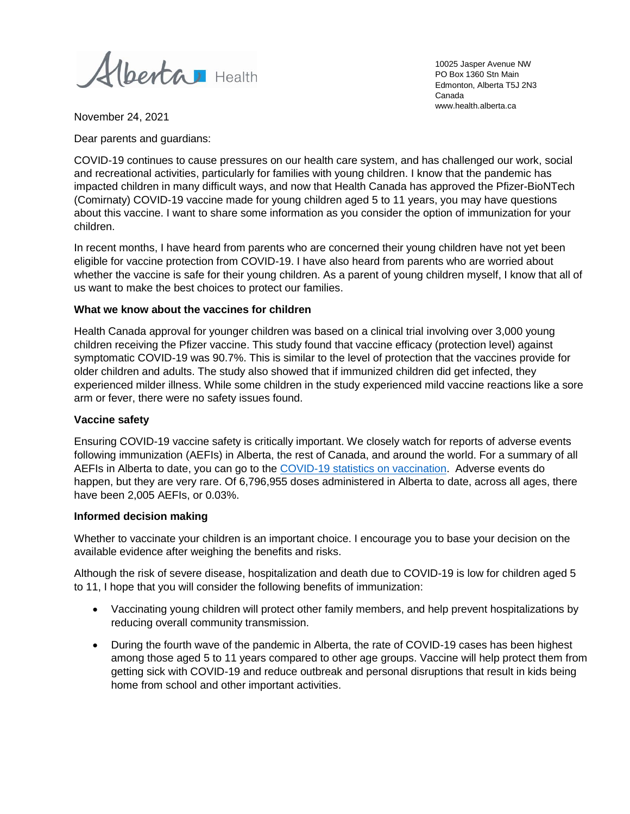Alberta Health

10025 Jasper Avenue NW PO Box 1360 Stn Main Edmonton, Alberta T5J 2N3 Canada www.health.alberta.ca

November 24, 2021

Dear parents and guardians:

COVID-19 continues to cause pressures on our health care system, and has challenged our work, social and recreational activities, particularly for families with young children. I know that the pandemic has impacted children in many difficult ways, and now that Health Canada has approved the Pfizer-BioNTech (Comirnaty) COVID-19 vaccine made for young children aged 5 to 11 years, you may have questions about this vaccine. I want to share some information as you consider the option of immunization for your children.

In recent months, I have heard from parents who are concerned their young children have not yet been eligible for vaccine protection from COVID-19. I have also heard from parents who are worried about whether the vaccine is safe for their young children. As a parent of young children myself, I know that all of us want to make the best choices to protect our families.

#### **What we know about the vaccines for children**

Health Canada approval for younger children was based on a clinical trial involving over 3,000 young children receiving the Pfizer vaccine. This study found that vaccine efficacy (protection level) against symptomatic COVID-19 was 90.7%. This is similar to the level of protection that the vaccines provide for older children and adults. The study also showed that if immunized children did get infected, they experienced milder illness. While some children in the study experienced mild vaccine reactions like a sore arm or fever, there were no safety issues found.

#### **Vaccine safety**

Ensuring COVID-19 vaccine safety is critically important. We closely watch for reports of adverse events following immunization (AEFIs) in Alberta, the rest of Canada, and around the world. For a summary of all AEFIs in Alberta to date, you can go to th[e COVID-19 statistics on vaccination.](https://www.alberta.ca/stats/covid-19-alberta-statistics.htm#vaccinations) Adverse events do happen, but they are very rare. Of 6,796,955 doses administered in Alberta to date, across all ages, there have been 2,005 AEFIs, or 0.03%.

## **Informed decision making**

Whether to vaccinate your children is an important choice. I encourage you to base your decision on the available evidence after weighing the benefits and risks.

Although the risk of severe disease, hospitalization and death due to COVID-19 is low for children aged 5 to 11, I hope that you will consider the following benefits of immunization:

- Vaccinating young children will protect other family members, and help prevent hospitalizations by reducing overall community transmission.
- During the fourth wave of the pandemic in Alberta, the rate of COVID-19 cases has been highest among those aged 5 to 11 years compared to other age groups. Vaccine will help protect them from getting sick with COVID-19 and reduce outbreak and personal disruptions that result in kids being home from school and other important activities.